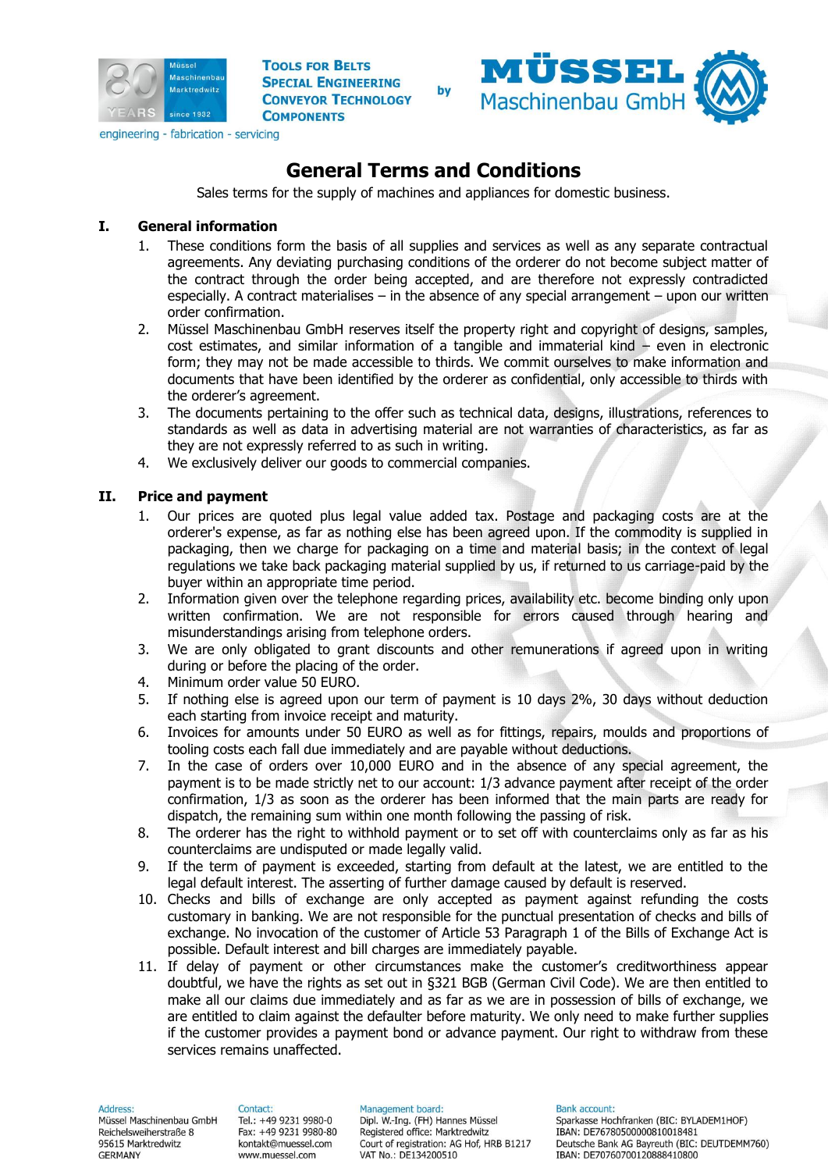



# **General Terms and Conditions**

Sales terms for the supply of machines and appliances for domestic business.

# **I. General information**

- 1. These conditions form the basis of all supplies and services as well as any separate contractual agreements. Any deviating purchasing conditions of the orderer do not become subject matter of the contract through the order being accepted, and are therefore not expressly contradicted especially. A contract materialises – in the absence of any special arrangement – upon our written order confirmation.
- 2. Müssel Maschinenbau GmbH reserves itself the property right and copyright of designs, samples, cost estimates, and similar information of a tangible and immaterial kind – even in electronic form; they may not be made accessible to thirds. We commit ourselves to make information and documents that have been identified by the orderer as confidential, only accessible to thirds with the orderer's agreement.
- 3. The documents pertaining to the offer such as technical data, designs, illustrations, references to standards as well as data in advertising material are not warranties of characteristics, as far as they are not expressly referred to as such in writing.
- 4. We exclusively deliver our goods to commercial companies.

# **II. Price and payment**

- 1. Our prices are quoted plus legal value added tax. Postage and packaging costs are at the orderer's expense, as far as nothing else has been agreed upon. If the commodity is supplied in packaging, then we charge for packaging on a time and material basis; in the context of legal regulations we take back packaging material supplied by us, if returned to us carriage-paid by the buyer within an appropriate time period.
- 2. Information given over the telephone regarding prices, availability etc. become binding only upon written confirmation. We are not responsible for errors caused through hearing and misunderstandings arising from telephone orders.
- 3. We are only obligated to grant discounts and other remunerations if agreed upon in writing during or before the placing of the order.
- 4. Minimum order value 50 EURO.
- 5. If nothing else is agreed upon our term of payment is 10 days 2%, 30 days without deduction each starting from invoice receipt and maturity.
- 6. Invoices for amounts under 50 EURO as well as for fittings, repairs, moulds and proportions of tooling costs each fall due immediately and are payable without deductions.
- 7. In the case of orders over 10,000 EURO and in the absence of any special agreement, the payment is to be made strictly net to our account: 1/3 advance payment after receipt of the order confirmation, 1/3 as soon as the orderer has been informed that the main parts are ready for dispatch, the remaining sum within one month following the passing of risk.
- 8. The orderer has the right to withhold payment or to set off with counterclaims only as far as his counterclaims are undisputed or made legally valid.
- 9. If the term of payment is exceeded, starting from default at the latest, we are entitled to the legal default interest. The asserting of further damage caused by default is reserved.
- 10. Checks and bills of exchange are only accepted as payment against refunding the costs customary in banking. We are not responsible for the punctual presentation of checks and bills of exchange. No invocation of the customer of Article 53 Paragraph 1 of the Bills of Exchange Act is possible. Default interest and bill charges are immediately payable.
- 11. If delay of payment or other circumstances make the customer's creditworthiness appear doubtful, we have the rights as set out in §321 BGB (German Civil Code). We are then entitled to make all our claims due immediately and as far as we are in possession of bills of exchange, we are entitled to claim against the defaulter before maturity. We only need to make further supplies if the customer provides a payment bond or advance payment. Our right to withdraw from these services remains unaffected.

#### Address:

Müssel Maschinenbau GmbH Reichelsweiherstraße 8 95615 Marktredwitz **GERMANY** 

#### Contact:

Tel.: +49 9231 9980-0 Fax: +49 9231 9980-80 kontakt@muessel.com www.muessel.com

Management board: Dipl. W .- Ing. (FH) Hannes Müssel Registered office: Marktredwitz Court of registration: AG Hof, HRB B1217 VAT No.: DE134200510

**Bank account:**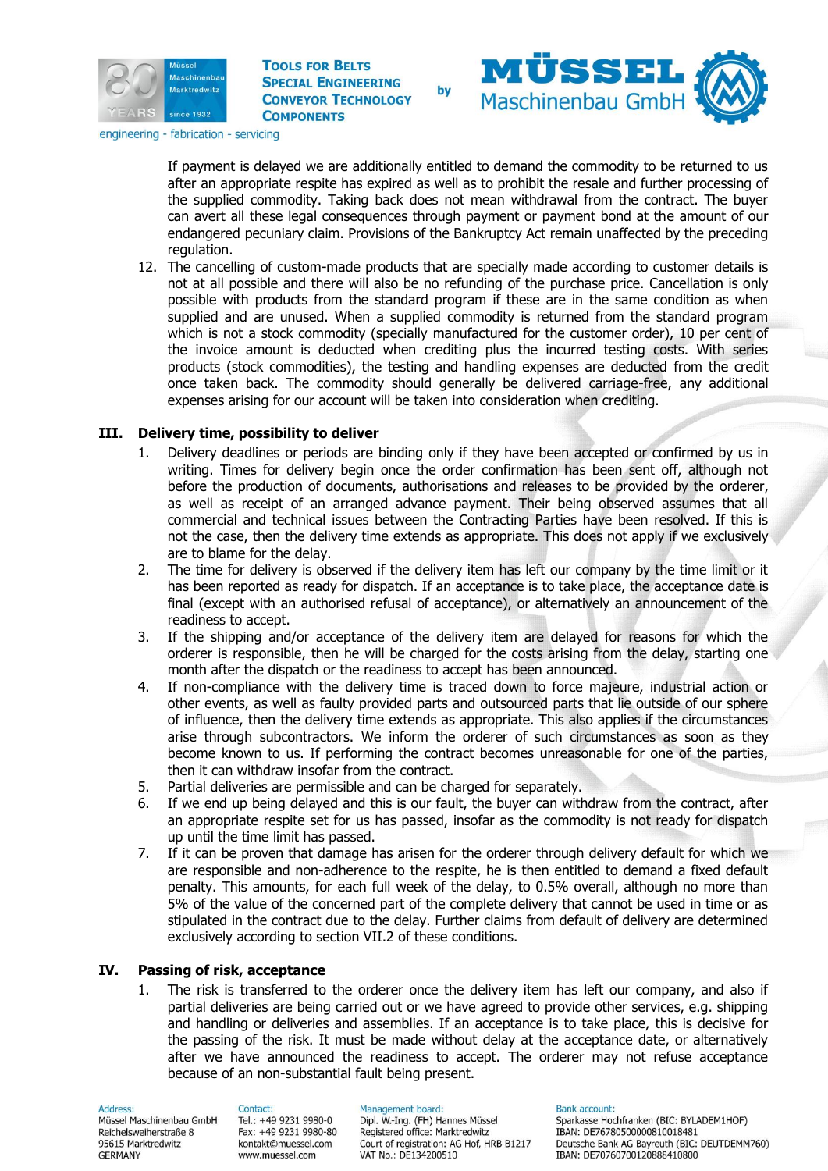



engineering - fabrication - servicing

If payment is delayed we are additionally entitled to demand the commodity to be returned to us after an appropriate respite has expired as well as to prohibit the resale and further processing of the supplied commodity. Taking back does not mean withdrawal from the contract. The buyer can avert all these legal consequences through payment or payment bond at the amount of our endangered pecuniary claim. Provisions of the Bankruptcy Act remain unaffected by the preceding regulation.

12. The cancelling of custom-made products that are specially made according to customer details is not at all possible and there will also be no refunding of the purchase price. Cancellation is only possible with products from the standard program if these are in the same condition as when supplied and are unused. When a supplied commodity is returned from the standard program which is not a stock commodity (specially manufactured for the customer order), 10 per cent of the invoice amount is deducted when crediting plus the incurred testing costs. With series products (stock commodities), the testing and handling expenses are deducted from the credit once taken back. The commodity should generally be delivered carriage-free, any additional expenses arising for our account will be taken into consideration when crediting.

## **III. Delivery time, possibility to deliver**

- 1. Delivery deadlines or periods are binding only if they have been accepted or confirmed by us in writing. Times for delivery begin once the order confirmation has been sent off, although not before the production of documents, authorisations and releases to be provided by the orderer, as well as receipt of an arranged advance payment. Their being observed assumes that all commercial and technical issues between the Contracting Parties have been resolved. If this is not the case, then the delivery time extends as appropriate. This does not apply if we exclusively are to blame for the delay.
- 2. The time for delivery is observed if the delivery item has left our company by the time limit or it has been reported as ready for dispatch. If an acceptance is to take place, the acceptance date is final (except with an authorised refusal of acceptance), or alternatively an announcement of the readiness to accept.
- 3. If the shipping and/or acceptance of the delivery item are delayed for reasons for which the orderer is responsible, then he will be charged for the costs arising from the delay, starting one month after the dispatch or the readiness to accept has been announced.
- 4. If non-compliance with the delivery time is traced down to force majeure, industrial action or other events, as well as faulty provided parts and outsourced parts that lie outside of our sphere of influence, then the delivery time extends as appropriate. This also applies if the circumstances arise through subcontractors. We inform the orderer of such circumstances as soon as they become known to us. If performing the contract becomes unreasonable for one of the parties, then it can withdraw insofar from the contract.
- 5. Partial deliveries are permissible and can be charged for separately.
- 6. If we end up being delayed and this is our fault, the buyer can withdraw from the contract, after an appropriate respite set for us has passed, insofar as the commodity is not ready for dispatch up until the time limit has passed.
- 7. If it can be proven that damage has arisen for the orderer through delivery default for which we are responsible and non-adherence to the respite, he is then entitled to demand a fixed default penalty. This amounts, for each full week of the delay, to 0.5% overall, although no more than 5% of the value of the concerned part of the complete delivery that cannot be used in time or as stipulated in the contract due to the delay. Further claims from default of delivery are determined exclusively according to section VII.2 of these conditions.

### **IV. Passing of risk, acceptance**

1. The risk is transferred to the orderer once the delivery item has left our company, and also if partial deliveries are being carried out or we have agreed to provide other services, e.g. shipping and handling or deliveries and assemblies. If an acceptance is to take place, this is decisive for the passing of the risk. It must be made without delay at the acceptance date, or alternatively after we have announced the readiness to accept. The orderer may not refuse acceptance because of an non-substantial fault being present.

Address: Müssel Maschinenbau GmbH Reichelsweiherstraße 8 95615 Marktredwitz **GERMANY** 

#### Contact: Tel.: +49 9231 9980-0 Fax: +49 9231 9980-80 kontakt@muessel.com www.muessel.com

#### Management board: Dipl. W .- Ing. (FH) Hannes Müssel Registered office: Marktredwitz Court of registration: AG Hof, HRB B1217 VAT No.: DE134200510

#### **Bank account:**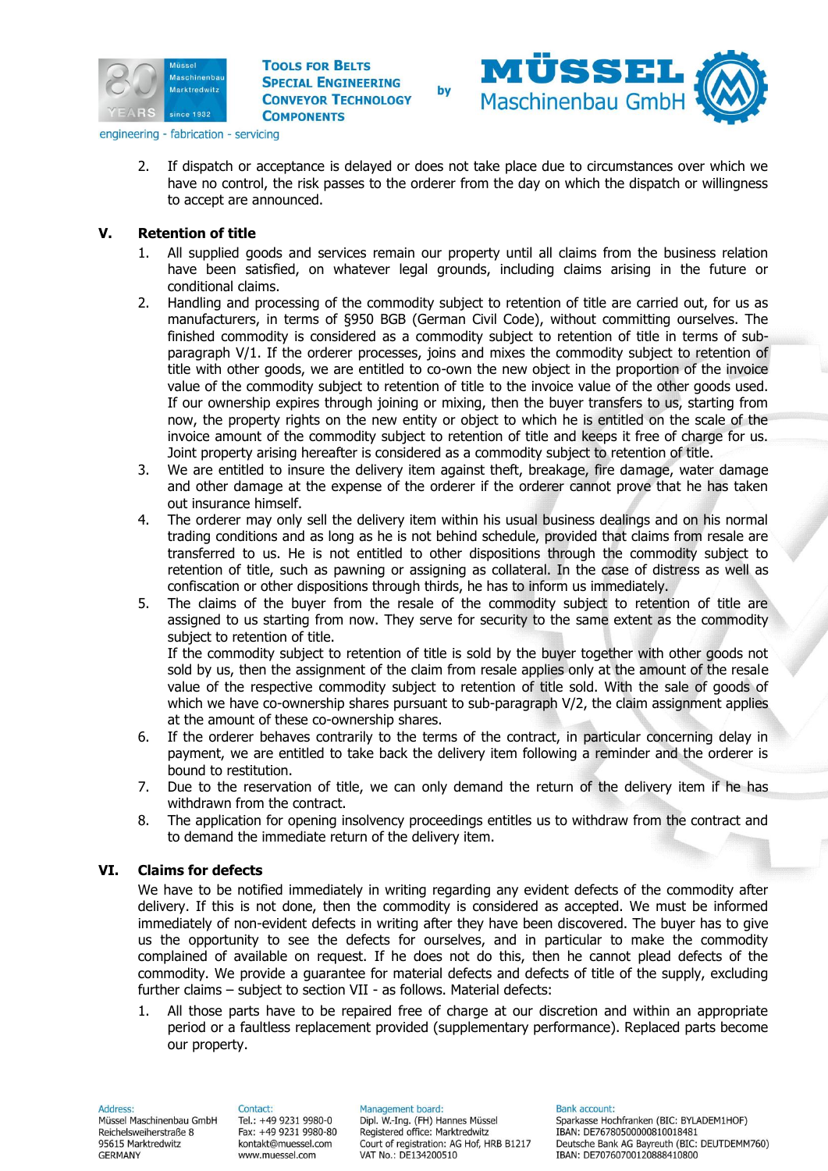



engineering - fabrication - servicing

2. If dispatch or acceptance is delayed or does not take place due to circumstances over which we have no control, the risk passes to the orderer from the day on which the dispatch or willingness to accept are announced.

### **V. Retention of title**

- 1. All supplied goods and services remain our property until all claims from the business relation have been satisfied, on whatever legal grounds, including claims arising in the future or conditional claims.
- 2. Handling and processing of the commodity subject to retention of title are carried out, for us as manufacturers, in terms of §950 BGB (German Civil Code), without committing ourselves. The finished commodity is considered as a commodity subject to retention of title in terms of subparagraph V/1. If the orderer processes, joins and mixes the commodity subject to retention of title with other goods, we are entitled to co-own the new object in the proportion of the invoice value of the commodity subject to retention of title to the invoice value of the other goods used. If our ownership expires through joining or mixing, then the buyer transfers to us, starting from now, the property rights on the new entity or object to which he is entitled on the scale of the invoice amount of the commodity subject to retention of title and keeps it free of charge for us. Joint property arising hereafter is considered as a commodity subject to retention of title.
- 3. We are entitled to insure the delivery item against theft, breakage, fire damage, water damage and other damage at the expense of the orderer if the orderer cannot prove that he has taken out insurance himself.
- 4. The orderer may only sell the delivery item within his usual business dealings and on his normal trading conditions and as long as he is not behind schedule, provided that claims from resale are transferred to us. He is not entitled to other dispositions through the commodity subject to retention of title, such as pawning or assigning as collateral. In the case of distress as well as confiscation or other dispositions through thirds, he has to inform us immediately.
- 5. The claims of the buyer from the resale of the commodity subject to retention of title are assigned to us starting from now. They serve for security to the same extent as the commodity subject to retention of title.

If the commodity subject to retention of title is sold by the buyer together with other goods not sold by us, then the assignment of the claim from resale applies only at the amount of the resale value of the respective commodity subject to retention of title sold. With the sale of goods of which we have co-ownership shares pursuant to sub-paragraph V/2, the claim assignment applies at the amount of these co-ownership shares.

- 6. If the orderer behaves contrarily to the terms of the contract, in particular concerning delay in payment, we are entitled to take back the delivery item following a reminder and the orderer is bound to restitution.
- 7. Due to the reservation of title, we can only demand the return of the delivery item if he has withdrawn from the contract.
- 8. The application for opening insolvency proceedings entitles us to withdraw from the contract and to demand the immediate return of the delivery item.

## **VI. Claims for defects**

We have to be notified immediately in writing regarding any evident defects of the commodity after delivery. If this is not done, then the commodity is considered as accepted. We must be informed immediately of non-evident defects in writing after they have been discovered. The buyer has to give us the opportunity to see the defects for ourselves, and in particular to make the commodity complained of available on request. If he does not do this, then he cannot plead defects of the commodity. We provide a guarantee for material defects and defects of title of the supply, excluding further claims – subject to section VII - as follows. Material defects:

1. All those parts have to be repaired free of charge at our discretion and within an appropriate period or a faultless replacement provided (supplementary performance). Replaced parts become our property.

Address:

Müssel Maschinenbau GmbH Reichelsweiherstraße 8 95615 Marktredwitz **GERMANY** 

Contact: Tel.: +49 9231 9980-0 Fax: +49 9231 9980-80 kontakt@muessel.com www.muessel.com

Management board: Dipl. W .- Ing. (FH) Hannes Müssel Registered office: Marktredwitz Court of registration: AG Hof, HRB B1217 VAT No.: DE134200510

**Bank account:**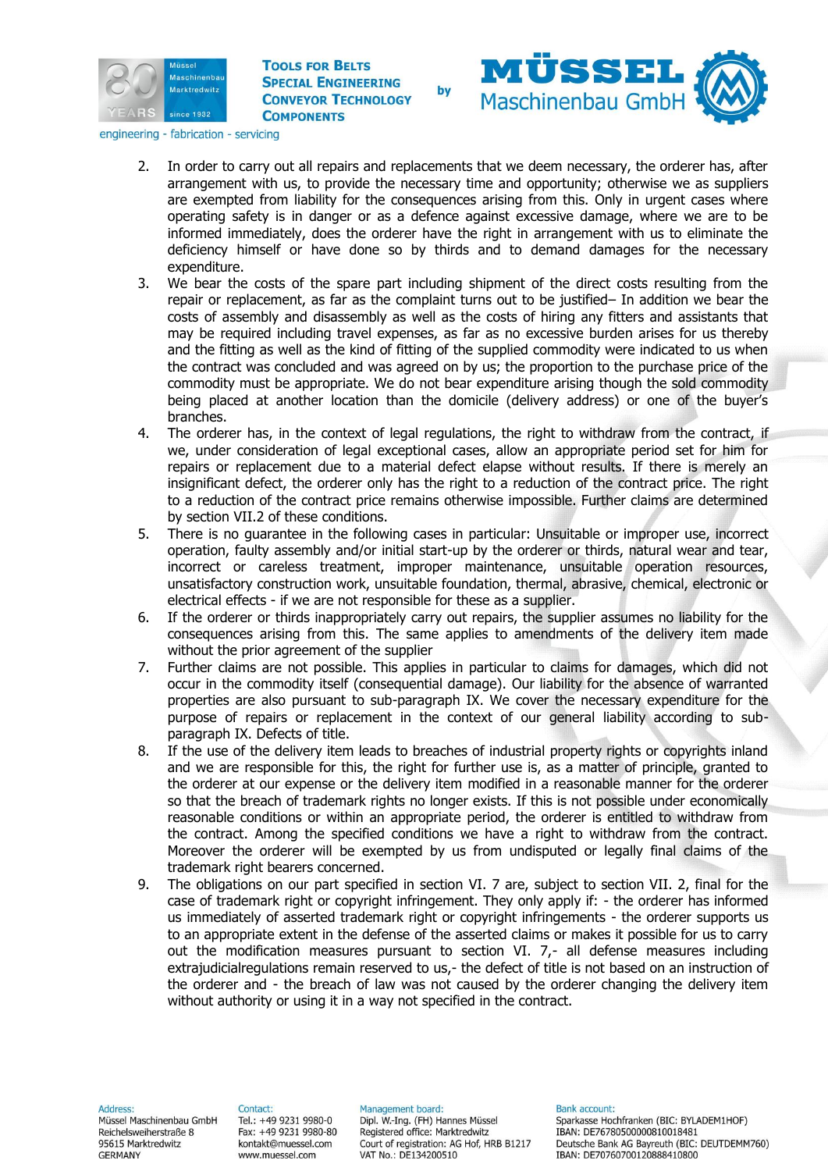



engineering - fabrication - servicing

- 2. In order to carry out all repairs and replacements that we deem necessary, the orderer has, after arrangement with us, to provide the necessary time and opportunity; otherwise we as suppliers are exempted from liability for the consequences arising from this. Only in urgent cases where operating safety is in danger or as a defence against excessive damage, where we are to be informed immediately, does the orderer have the right in arrangement with us to eliminate the deficiency himself or have done so by thirds and to demand damages for the necessary expenditure.
- 3. We bear the costs of the spare part including shipment of the direct costs resulting from the repair or replacement, as far as the complaint turns out to be justified– In addition we bear the costs of assembly and disassembly as well as the costs of hiring any fitters and assistants that may be required including travel expenses, as far as no excessive burden arises for us thereby and the fitting as well as the kind of fitting of the supplied commodity were indicated to us when the contract was concluded and was agreed on by us; the proportion to the purchase price of the commodity must be appropriate. We do not bear expenditure arising though the sold commodity being placed at another location than the domicile (delivery address) or one of the buyer's branches.
- 4. The orderer has, in the context of legal regulations, the right to withdraw from the contract, if we, under consideration of legal exceptional cases, allow an appropriate period set for him for repairs or replacement due to a material defect elapse without results. If there is merely an insignificant defect, the orderer only has the right to a reduction of the contract price. The right to a reduction of the contract price remains otherwise impossible. Further claims are determined by section VII.2 of these conditions.
- 5. There is no guarantee in the following cases in particular: Unsuitable or improper use, incorrect operation, faulty assembly and/or initial start-up by the orderer or thirds, natural wear and tear, incorrect or careless treatment, improper maintenance, unsuitable operation resources, unsatisfactory construction work, unsuitable foundation, thermal, abrasive, chemical, electronic or electrical effects - if we are not responsible for these as a supplier.
- 6. If the orderer or thirds inappropriately carry out repairs, the supplier assumes no liability for the consequences arising from this. The same applies to amendments of the delivery item made without the prior agreement of the supplier
- 7. Further claims are not possible. This applies in particular to claims for damages, which did not occur in the commodity itself (consequential damage). Our liability for the absence of warranted properties are also pursuant to sub-paragraph IX. We cover the necessary expenditure for the purpose of repairs or replacement in the context of our general liability according to subparagraph IX. Defects of title.
- 8. If the use of the delivery item leads to breaches of industrial property rights or copyrights inland and we are responsible for this, the right for further use is, as a matter of principle, granted to the orderer at our expense or the delivery item modified in a reasonable manner for the orderer so that the breach of trademark rights no longer exists. If this is not possible under economically reasonable conditions or within an appropriate period, the orderer is entitled to withdraw from the contract. Among the specified conditions we have a right to withdraw from the contract. Moreover the orderer will be exempted by us from undisputed or legally final claims of the trademark right bearers concerned.
- 9. The obligations on our part specified in section VI. 7 are, subject to section VII. 2, final for the case of trademark right or copyright infringement. They only apply if: - the orderer has informed us immediately of asserted trademark right or copyright infringements - the orderer supports us to an appropriate extent in the defense of the asserted claims or makes it possible for us to carry out the modification measures pursuant to section VI. 7,- all defense measures including extrajudicialregulations remain reserved to us,- the defect of title is not based on an instruction of the orderer and - the breach of law was not caused by the orderer changing the delivery item without authority or using it in a way not specified in the contract.

Address:

Müssel Maschinenbau GmbH Reichelsweiherstraße 8 95615 Marktredwitz **GERMANY** 

Contact: Tel.: +49 9231 9980-0 Fax: +49 9231 9980-80 kontakt@muessel.com www.muessel.com

Management board: Dipl. W .- Ing. (FH) Hannes Müssel Registered office: Marktredwitz Court of registration: AG Hof, HRB B1217 VAT No.: DE134200510

**Bank account:**